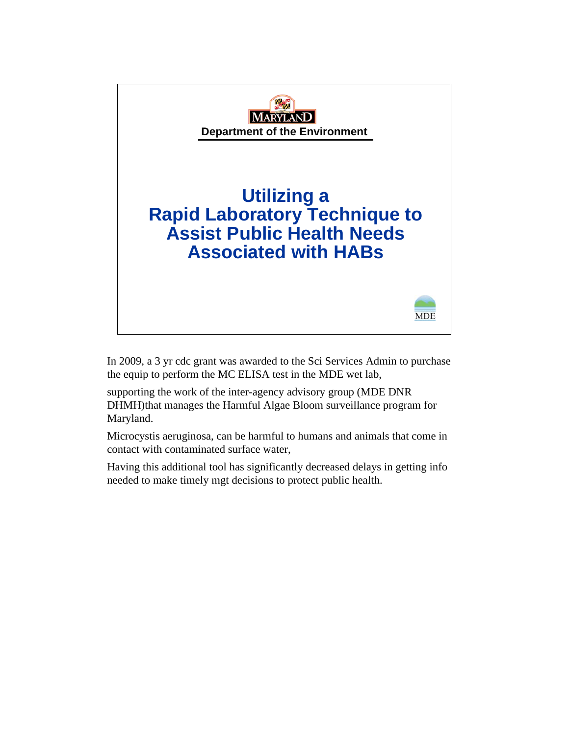

In 2009, a 3 yr cdc grant was awarded to the Sci Services Admin to purchase the equip to perform the MC ELISA test in the MDE wet lab,

supporting the work of the inter-agency advisory group (MDE DNR DHMH)that manages the Harmful Algae Bloom surveillance program for Maryland.

Microcystis aeruginosa, can be harmful to humans and animals that come in contact with contaminated surface water,

Having this additional tool has significantly decreased delays in getting info needed to make timely mgt decisions to protect public health.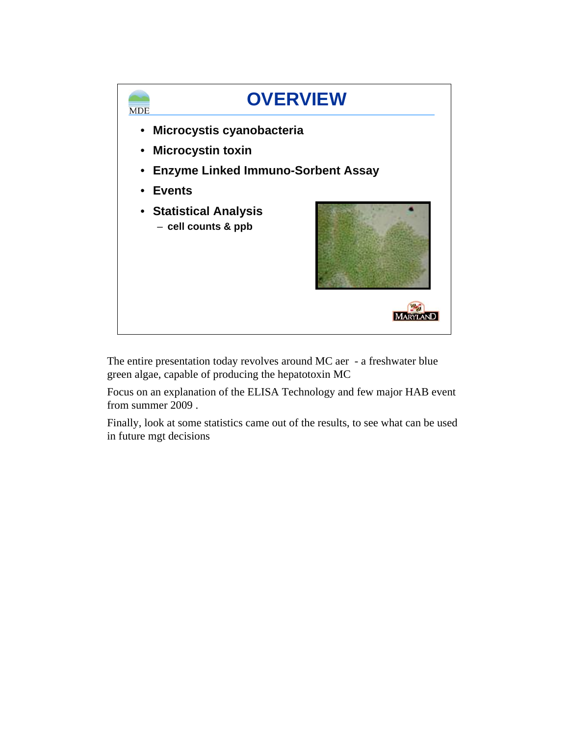

The entire presentation today revolves around MC aer - a freshwater blue green algae, capable of producing the hepatotoxin MC

Focus on an explanation of the ELISA Technology and few major HAB event from summer 2009 .

Finally, look at some statistics came out of the results, to see what can be used in future mgt decisions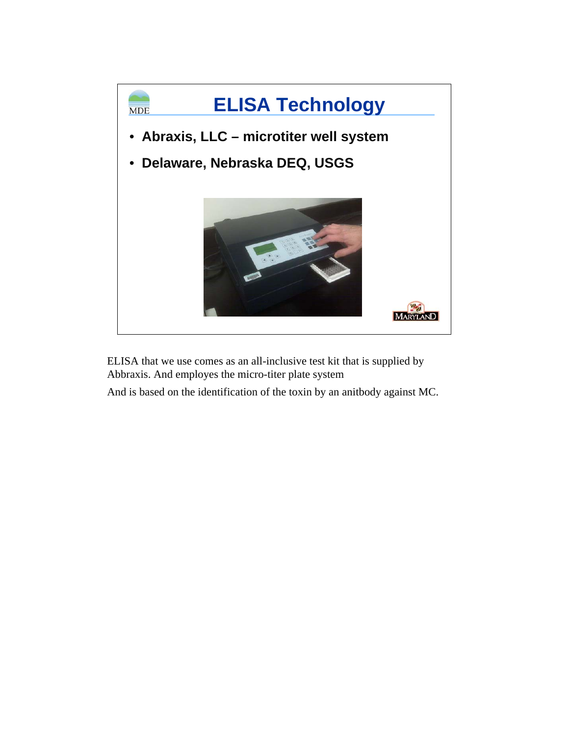

ELISA that we use comes as an all-inclusive test kit that is supplied by Abbraxis. And employes the micro-titer plate system

And is based on the identification of the toxin by an anitbody against MC.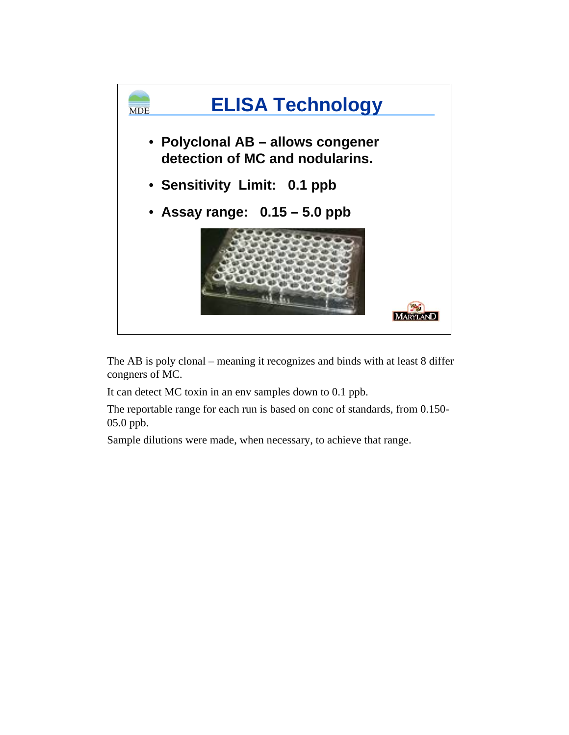

The AB is poly clonal – meaning it recognizes and binds with at least 8 differ congners of MC.

It can detect MC toxin in an env samples down to 0.1 ppb.

The reportable range for each run is based on conc of standards, from 0.150- 05.0 ppb.

Sample dilutions were made, when necessary, to achieve that range.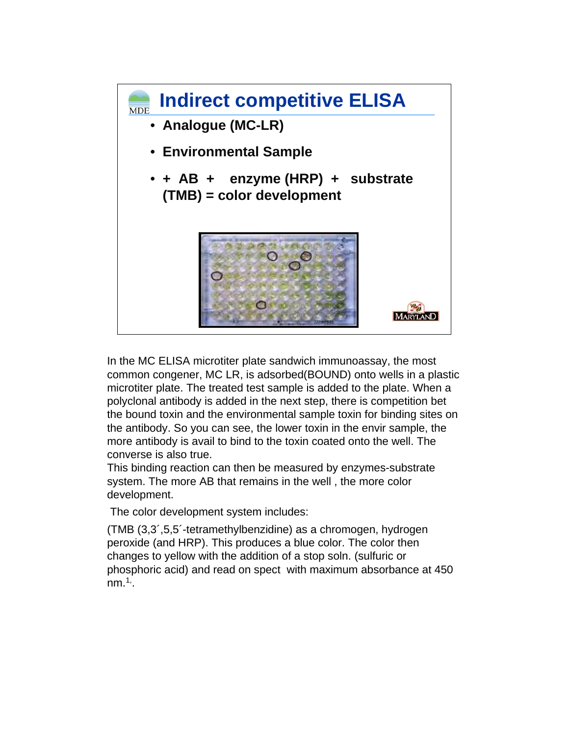

In the MC ELISA microtiter plate sandwich immunoassay, the most common congener, MC LR, is adsorbed(BOUND) onto wells in a plastic microtiter plate. The treated test sample is added to the plate. When a polyclonal antibody is added in the next step, there is competition bet the bound toxin and the environmental sample toxin for binding sites on the antibody. So you can see, the lower toxin in the envir sample, the more antibody is avail to bind to the toxin coated onto the well. The converse is also true.

This binding reaction can then be measured by enzymes-substrate system. The more AB that remains in the well , the more color development.

The color development system includes:

(TMB (3,3´,5,5´-tetramethylbenzidine) as a chromogen, hydrogen peroxide (and HRP). This produces a blue color. The color then changes to yellow with the addition of a stop soln. (sulfuric or phosphoric acid) and read on spect with maximum absorbance at 450  $nm.^{1}$ .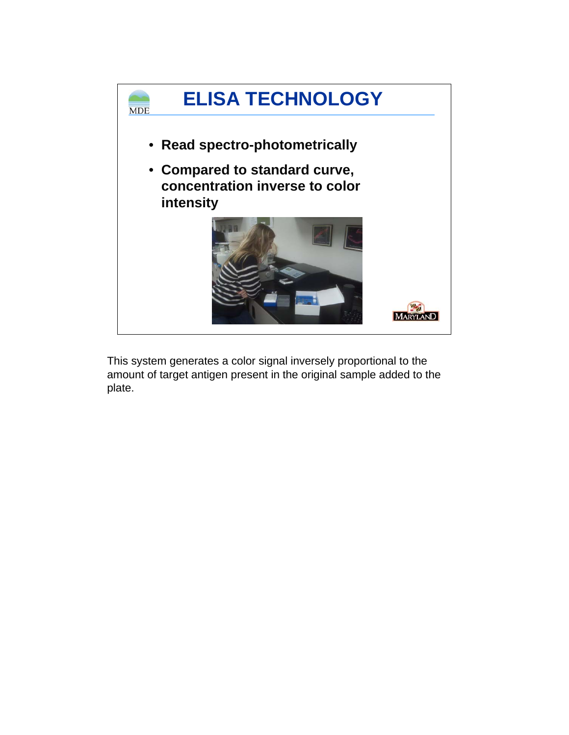

This system generates a color signal inversely proportional to the amount of target antigen present in the original sample added to the plate.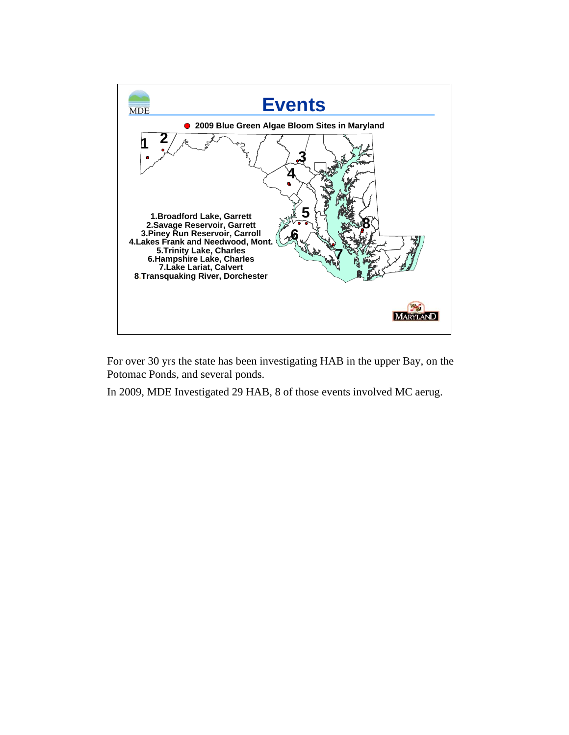

For over 30 yrs the state has been investigating HAB in the upper Bay, on the Potomac Ponds, and several ponds.

In 2009, MDE Investigated 29 HAB, 8 of those events involved MC aerug.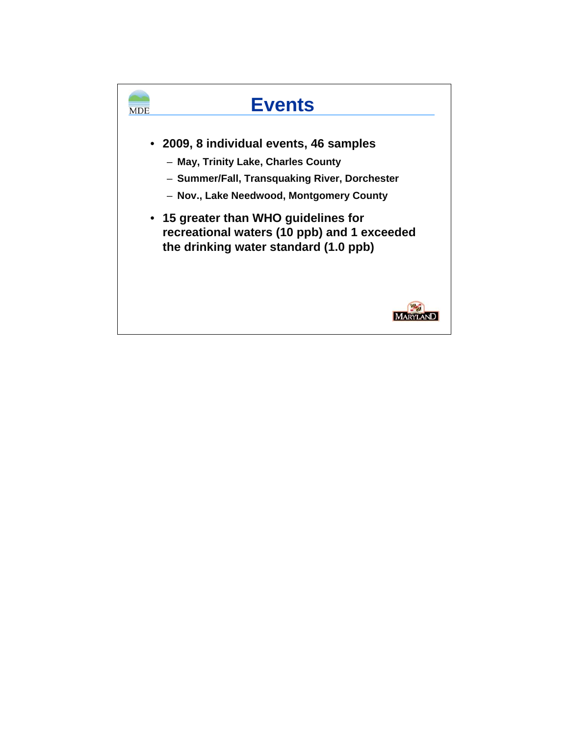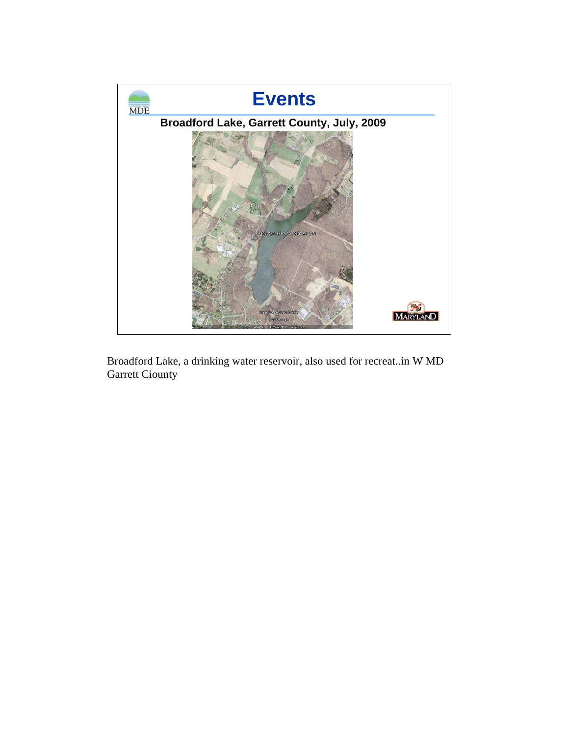

Broadford Lake, a drinking water reservoir, also used for recreat..in W MD Garrett Ciounty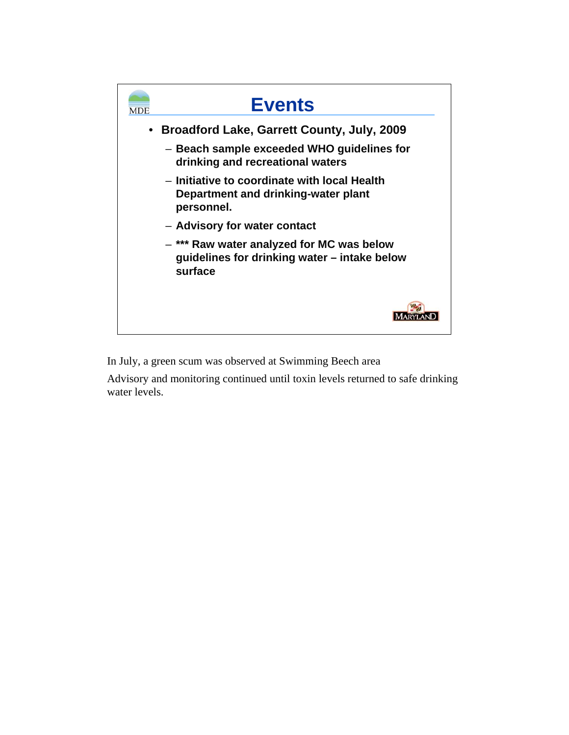

In July, a green scum was observed at Swimming Beech area

Advisory and monitoring continued until toxin levels returned to safe drinking water levels.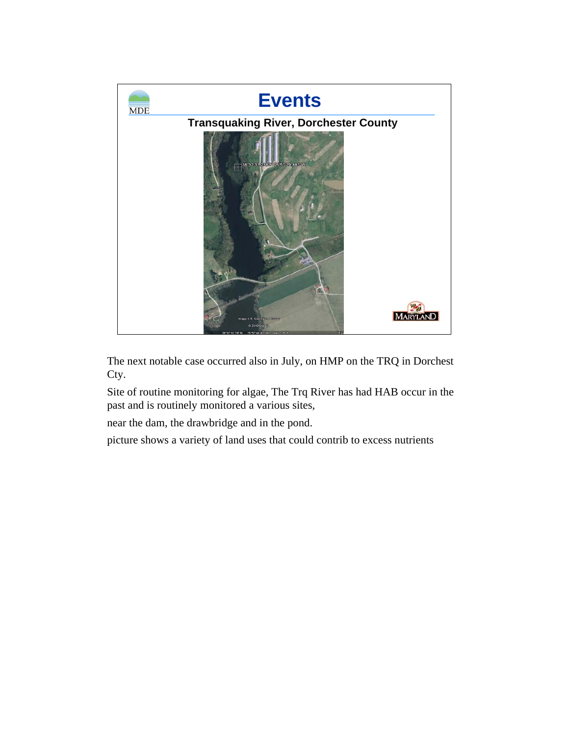

The next notable case occurred also in July, on HMP on the TRQ in Dorchest Cty.

Site of routine monitoring for algae, The Trq River has had HAB occur in the past and is routinely monitored a various sites,

near the dam, the drawbridge and in the pond.

picture shows a variety of land uses that could contrib to excess nutrients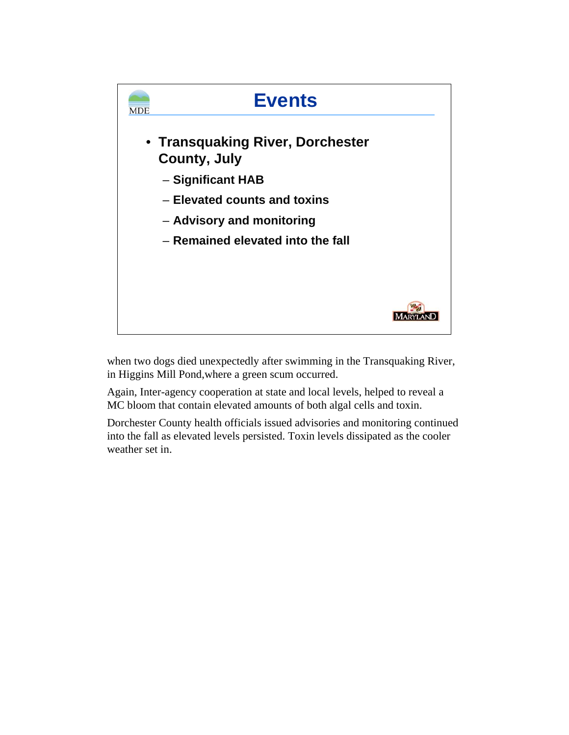

when two dogs died unexpectedly after swimming in the Transquaking River, in Higgins Mill Pond,where a green scum occurred.

Again, Inter-agency cooperation at state and local levels, helped to reveal a MC bloom that contain elevated amounts of both algal cells and toxin.

Dorchester County health officials issued advisories and monitoring continued into the fall as elevated levels persisted. Toxin levels dissipated as the cooler weather set in.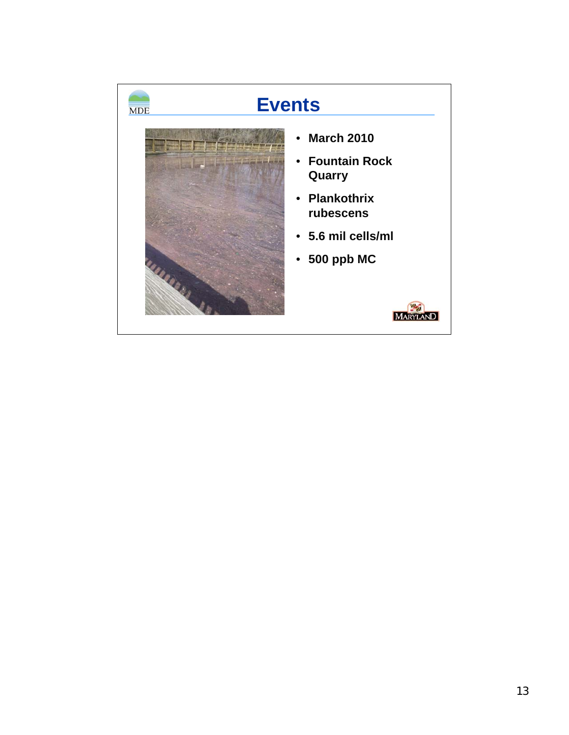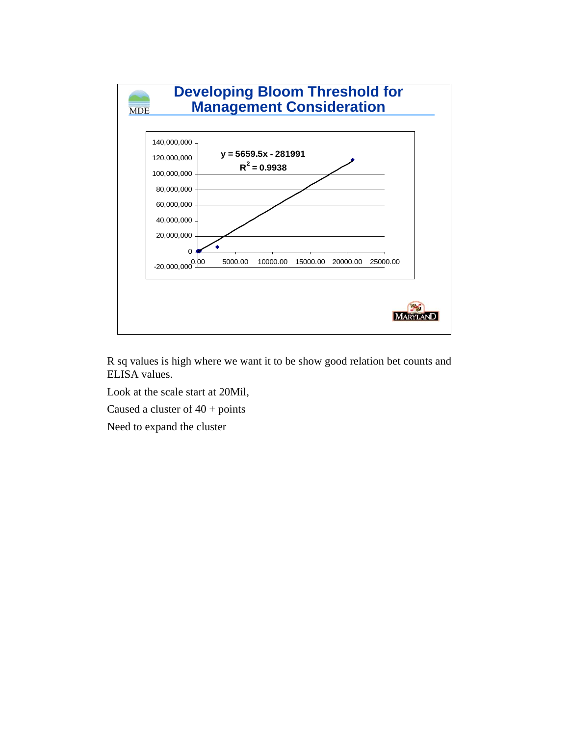

R sq values is high where we want it to be show good relation bet counts and ELISA values.

Look at the scale start at 20Mil,

Caused a cluster of  $40 + \text{points}$ 

Need to expand the cluster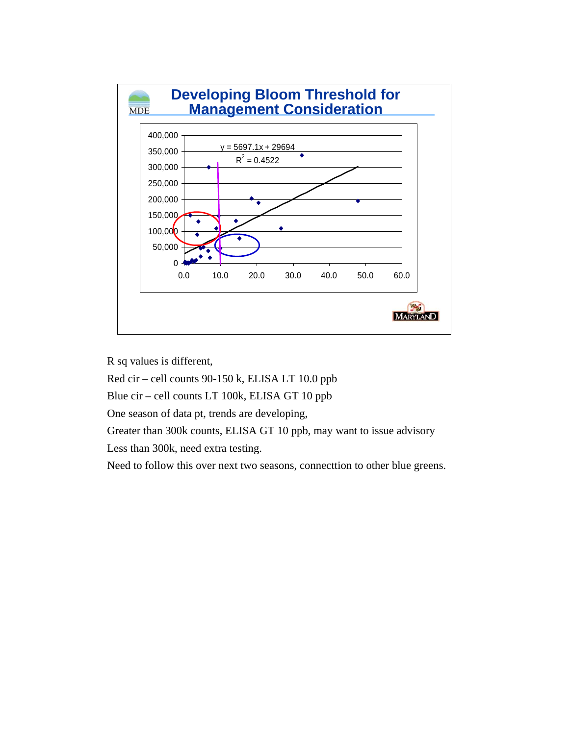

R sq values is different,

Red cir – cell counts 90-150 k, ELISA LT 10.0 ppb

Blue cir – cell counts LT 100k, ELISA GT 10 ppb

One season of data pt, trends are developing,

Greater than 300k counts, ELISA GT 10 ppb, may want to issue advisory

Less than 300k, need extra testing.

Need to follow this over next two seasons, connecttion to other blue greens.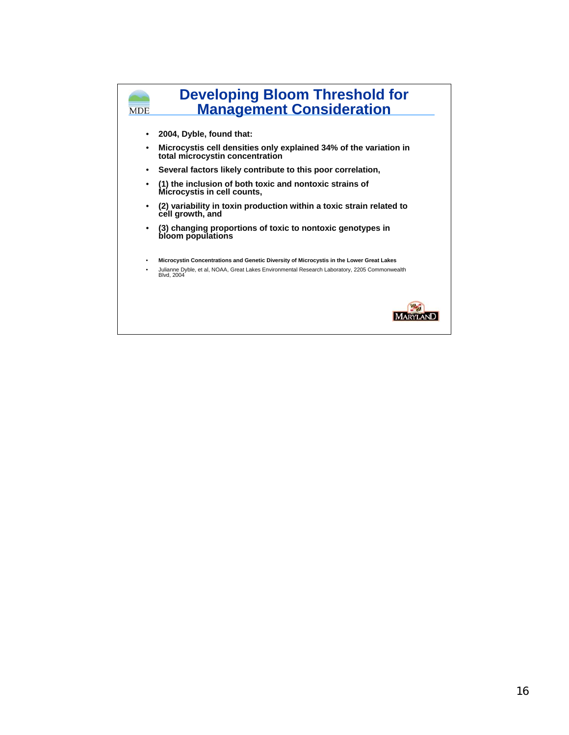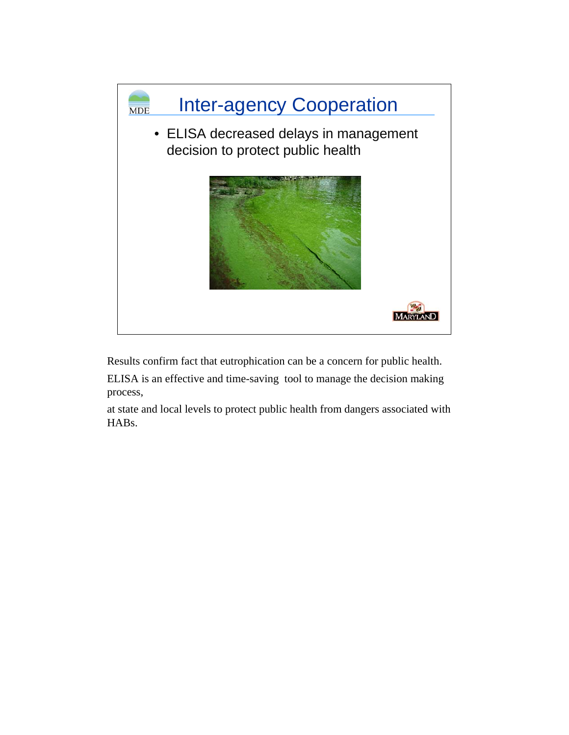

Results confirm fact that eutrophication can be a concern for public health.

ELISA is an effective and time-saving tool to manage the decision making process,

at state and local levels to protect public health from dangers associated with HABs.